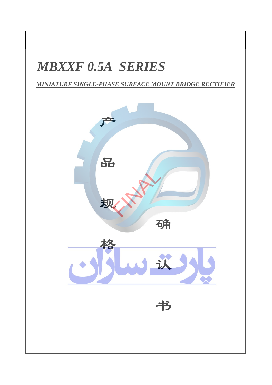# *MBXXF 0 . 5A SERIES*

### *MINIATURE SINGLE-PHASE SURFACE MOUNT BRIDGE RECTIFIER*

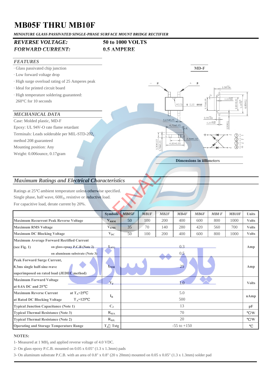## **MB05F THRU MB10F**

*MINIATURE GLASS PASSIVATED SINGLE-PHASE SURFACE MOUNT BRIDGE RECTIFIER*

### *REVERSE VOLTAGE:* **50 to 1000 VOLTS** *FORWARD CURRENT:* **0.5 AMPERE**



#### *Maximum Ratings and Electrical Characteristics*

| <b>Maximum Ratings and Electrical Characteristics</b>                                                                           |                            |                 |             |      |             |             |      |              |              |
|---------------------------------------------------------------------------------------------------------------------------------|----------------------------|-----------------|-------------|------|-------------|-------------|------|--------------|--------------|
| ambient temperature unless otherwise specified.<br>Ratings at 25<br>Single phase, half wave, 60Hz, resistive or inductive load. |                            |                 |             |      |             |             |      |              |              |
| For capacitive load, derate current by 20%.                                                                                     |                            |                 |             |      |             |             |      |              |              |
|                                                                                                                                 | <b>Symbols</b>             | MB05F           | <b>MB1F</b> | MB2F | <b>MB4F</b> | <b>MB6F</b> | MB8F | <b>MB10F</b> | <b>Units</b> |
| <b>Maximum Recurrent Peak Reverse Voltage</b>                                                                                   | $V_{RRM}$                  | 50              | 100         | 200  | 400         | 600         | 800  | 1000         | <b>Volts</b> |
| <b>Maximum RMS Voltage</b>                                                                                                      | V <sub>RMS</sub>           | 35              | 70          | 140  | 280         | 420         | 560  | 700          | <b>Volts</b> |
| <b>Maximum DC Blocking Voltage</b>                                                                                              | $V_{DC}$                   | 50              | 100         | 200  | 400         | 600         | 800  | 1000         | <b>Volts</b> |
| Maximum Average Forward Rectified Current<br>(see Fig. $1$ )<br>on glass-epoxy P.C.B (Note 2)<br>on aluminum substrate (Note 3) | $L_{(AV)}$                 | 0.3<br>0,5      |             |      |             |             |      |              | Amp          |
| <b>Peak Forward Surge Current,</b><br>8.3ms single half-sine-wave<br>superimposed on rated load (JEDEC method)                  | $I_{\rm{FSM}}$             | 25              |             |      |             |             |      |              | Amp          |
| <b>Maximum Forward Voltage</b><br>at 0.4A DC and 25                                                                             | $-\mathbf{V}_{\mathrm{F}}$ | $1-0$           |             |      |             |             |      |              | <b>Volts</b> |
| at $T_A=25$<br><b>Maximum Reverse Current</b><br>at Rated DC Blocking Voltage<br>$T_A = 125$                                    | $I_R$                      | 5.0<br>500      |             |      |             |             |      |              | uAmp         |
| <b>Typical Junction Capacitance (Note 1)</b>                                                                                    | $C_{J}$                    | 13              |             |      |             |             |      |              | pF           |
| <b>Typical Thermal Resistance (Note 3)</b>                                                                                      | $R_{\theta JA}$            | 70              |             |      |             |             |      |              | / W          |
| <b>Typical Thermal Resistance (Note 2)</b>                                                                                      | $R_{0.H.}$                 | 20              |             |      |             |             |      |              | /N           |
| <b>Operating and Storage Temperature Range</b>                                                                                  | $T_J$ Tstg                 | $-55$ to $+150$ |             |      |             |             |      |              |              |

#### **NOTES:**

1- Measured at 1 MH<sub>Z</sub> and applied reverse voltage of 4.0 VDC.

2- On glass epoxy P.C.B. mounted on 0.05 x 0.05" (1.3 x 1.3mm) pads

3- On aluminum substrate P.C.B. with an area of 0.8" x 0.8" (20 x 20mm) mounted on 0.05 x 0.05" (1.3 x 1.3mm) solder pad